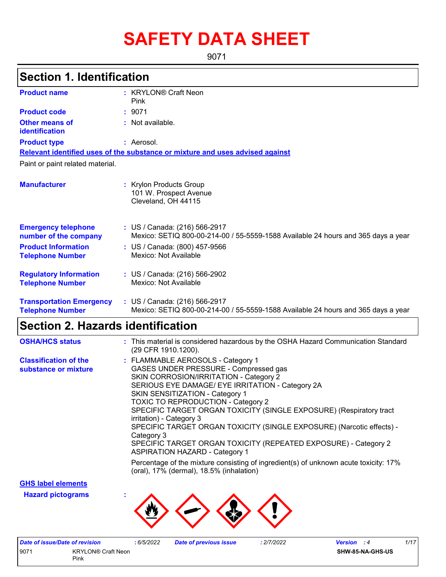# **SAFETY DATA SHEET**

9071

# **Section 1. Identification**

| <b>Product name</b>                                        | : KRYLON® Craft Neon<br>Pink                                                                                       |
|------------------------------------------------------------|--------------------------------------------------------------------------------------------------------------------|
| <b>Product code</b>                                        | : 9071                                                                                                             |
| Other means of<br>identification                           | $:$ Not available.                                                                                                 |
| <b>Product type</b>                                        | : Aerosol.                                                                                                         |
|                                                            | Relevant identified uses of the substance or mixture and uses advised against                                      |
| Paint or paint related material.                           |                                                                                                                    |
|                                                            |                                                                                                                    |
| <b>Manufacturer</b>                                        | : Krylon Products Group<br>101 W. Prospect Avenue<br>Cleveland, OH 44115                                           |
| <b>Emergency telephone</b><br>number of the company        | : US / Canada: (216) 566-2917<br>Mexico: SETIQ 800-00-214-00 / 55-5559-1588 Available 24 hours and 365 days a year |
| <b>Product Information</b><br><b>Telephone Number</b>      | : US / Canada: (800) 457-9566<br>Mexico: Not Available                                                             |
| <b>Regulatory Information</b><br><b>Telephone Number</b>   | : US / Canada: (216) 566-2902<br>Mexico: Not Available                                                             |
| <b>Transportation Emergency</b><br><b>Telephone Number</b> | : US / Canada: (216) 566-2917<br>Mexico: SETIQ 800-00-214-00 / 55-5559-1588 Available 24 hours and 365 days a year |

## **Section 2. Hazards identification**

| <b>OSHA/HCS status</b>                               | : This material is considered hazardous by the OSHA Hazard Communication Standard<br>(29 CFR 1910.1200).                                                                                                                                                                                                                                                                                                                                                                                                                                                       |
|------------------------------------------------------|----------------------------------------------------------------------------------------------------------------------------------------------------------------------------------------------------------------------------------------------------------------------------------------------------------------------------------------------------------------------------------------------------------------------------------------------------------------------------------------------------------------------------------------------------------------|
| <b>Classification of the</b><br>substance or mixture | : FLAMMABLE AEROSOLS - Category 1<br>GASES UNDER PRESSURE - Compressed gas<br>SKIN CORROSION/IRRITATION - Category 2<br>SERIOUS EYE DAMAGE/ EYE IRRITATION - Category 2A<br>SKIN SENSITIZATION - Category 1<br><b>TOXIC TO REPRODUCTION - Category 2</b><br>SPECIFIC TARGET ORGAN TOXICITY (SINGLE EXPOSURE) (Respiratory tract<br>irritation) - Category 3<br>SPECIFIC TARGET ORGAN TOXICITY (SINGLE EXPOSURE) (Narcotic effects) -<br>Category 3<br>SPECIFIC TARGET ORGAN TOXICITY (REPEATED EXPOSURE) - Category 2<br><b>ASPIRATION HAZARD - Category 1</b> |
|                                                      | Percentage of the mixture consisting of ingredient(s) of unknown acute toxicity: 17%<br>(oral), 17% (dermal), 18.5% (inhalation)                                                                                                                                                                                                                                                                                                                                                                                                                               |

## **GHS label elements**

**Hazard pictograms :**



|      | Date of issue/Date of revision | 6/5/2022 | <b>Date of previous issue</b> | .2/7/2022 | 1/17<br><b>Version</b> : 4 |
|------|--------------------------------|----------|-------------------------------|-----------|----------------------------|
| 907' | <b>KRYLON® Craft Neon</b>      |          |                               |           | SHW-85-NA-GHS-US           |
|      | Pink                           |          |                               |           |                            |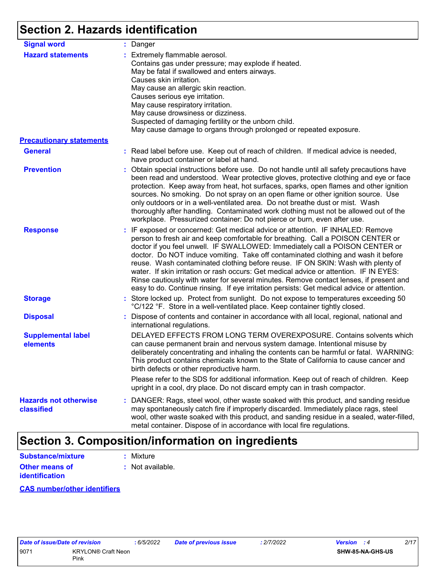# **Section 2. Hazards identification**

| <b>Signal word</b>                                          | : Danger                                                                                                                                                                                                                                                                                                                                                                                                                                                                                                                                                                                                                                                                                                    |
|-------------------------------------------------------------|-------------------------------------------------------------------------------------------------------------------------------------------------------------------------------------------------------------------------------------------------------------------------------------------------------------------------------------------------------------------------------------------------------------------------------------------------------------------------------------------------------------------------------------------------------------------------------------------------------------------------------------------------------------------------------------------------------------|
| <b>Hazard statements</b><br><b>Precautionary statements</b> | : Extremely flammable aerosol.<br>Contains gas under pressure; may explode if heated.<br>May be fatal if swallowed and enters airways.<br>Causes skin irritation.<br>May cause an allergic skin reaction.<br>Causes serious eye irritation.<br>May cause respiratory irritation.<br>May cause drowsiness or dizziness.<br>Suspected of damaging fertility or the unborn child.<br>May cause damage to organs through prolonged or repeated exposure.                                                                                                                                                                                                                                                        |
|                                                             |                                                                                                                                                                                                                                                                                                                                                                                                                                                                                                                                                                                                                                                                                                             |
| <b>General</b>                                              | : Read label before use. Keep out of reach of children. If medical advice is needed,<br>have product container or label at hand.                                                                                                                                                                                                                                                                                                                                                                                                                                                                                                                                                                            |
| <b>Prevention</b>                                           | : Obtain special instructions before use. Do not handle until all safety precautions have<br>been read and understood. Wear protective gloves, protective clothing and eye or face<br>protection. Keep away from heat, hot surfaces, sparks, open flames and other ignition<br>sources. No smoking. Do not spray on an open flame or other ignition source. Use<br>only outdoors or in a well-ventilated area. Do not breathe dust or mist. Wash<br>thoroughly after handling. Contaminated work clothing must not be allowed out of the<br>workplace. Pressurized container: Do not pierce or burn, even after use.                                                                                        |
| <b>Response</b>                                             | : IF exposed or concerned: Get medical advice or attention. IF INHALED: Remove<br>person to fresh air and keep comfortable for breathing. Call a POISON CENTER or<br>doctor if you feel unwell. IF SWALLOWED: Immediately call a POISON CENTER or<br>doctor. Do NOT induce vomiting. Take off contaminated clothing and wash it before<br>reuse. Wash contaminated clothing before reuse. IF ON SKIN: Wash with plenty of<br>water. If skin irritation or rash occurs: Get medical advice or attention. IF IN EYES:<br>Rinse cautiously with water for several minutes. Remove contact lenses, if present and<br>easy to do. Continue rinsing. If eye irritation persists: Get medical advice or attention. |
| <b>Storage</b>                                              | : Store locked up. Protect from sunlight. Do not expose to temperatures exceeding 50<br>°C/122 °F. Store in a well-ventilated place. Keep container tightly closed.                                                                                                                                                                                                                                                                                                                                                                                                                                                                                                                                         |
| <b>Disposal</b>                                             | : Dispose of contents and container in accordance with all local, regional, national and<br>international regulations.                                                                                                                                                                                                                                                                                                                                                                                                                                                                                                                                                                                      |
| <b>Supplemental label</b><br>elements                       | DELAYED EFFECTS FROM LONG TERM OVEREXPOSURE. Contains solvents which<br>can cause permanent brain and nervous system damage. Intentional misuse by<br>deliberately concentrating and inhaling the contents can be harmful or fatal. WARNING:<br>This product contains chemicals known to the State of California to cause cancer and<br>birth defects or other reproductive harm.                                                                                                                                                                                                                                                                                                                           |
|                                                             | Please refer to the SDS for additional information. Keep out of reach of children. Keep<br>upright in a cool, dry place. Do not discard empty can in trash compactor.                                                                                                                                                                                                                                                                                                                                                                                                                                                                                                                                       |
| <b>Hazards not otherwise</b><br>classified                  | : DANGER: Rags, steel wool, other waste soaked with this product, and sanding residue<br>may spontaneously catch fire if improperly discarded. Immediately place rags, steel<br>wool, other waste soaked with this product, and sanding residue in a sealed, water-filled,<br>metal container. Dispose of in accordance with local fire regulations.                                                                                                                                                                                                                                                                                                                                                        |

# **Section 3. Composition/information on ingredients**

| Substance/mixture     | : Mixture        |
|-----------------------|------------------|
| <b>Other means of</b> | : Not available. |
| <b>identification</b> |                  |

### **CAS number/other identifiers**

| Date of issue/Date of revision |                           | :6/5/20 |
|--------------------------------|---------------------------|---------|
| 9071                           | <b>KRYLON® Craft Neon</b> |         |
|                                | Pink                      |         |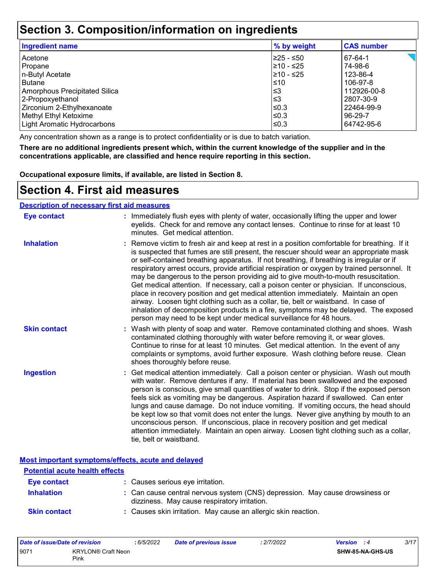## **Section 3. Composition/information on ingredients**

| <b>Ingredient name</b>               | % by weight | <b>CAS number</b> |
|--------------------------------------|-------------|-------------------|
| Acetone                              | l≥25 - ≤50  | 67-64-1           |
| Propane                              | 210 - ≤25   | 74-98-6           |
| n-Butyl Acetate                      | 210 - ≤25   | 123-86-4          |
| <b>Butane</b>                        | $\leq 10$   | 106-97-8          |
| <b>Amorphous Precipitated Silica</b> | ≲3          | 112926-00-8       |
| 2-Propoxyethanol                     | l≤3         | 2807-30-9         |
| Zirconium 2-Ethylhexanoate           | ≤0.3        | 22464-99-9        |
| Methyl Ethyl Ketoxime                | l≤0.3       | 96-29-7           |
| <b>Light Aromatic Hydrocarbons</b>   | l≤0.3       | 64742-95-6        |

Any concentration shown as a range is to protect confidentiality or is due to batch variation.

**There are no additional ingredients present which, within the current knowledge of the supplier and in the concentrations applicable, are classified and hence require reporting in this section.**

**Occupational exposure limits, if available, are listed in Section 8.**

## **Section 4. First aid measures**

### **Description of necessary first aid measures**

| <b>Eye contact</b>  | : Immediately flush eyes with plenty of water, occasionally lifting the upper and lower<br>eyelids. Check for and remove any contact lenses. Continue to rinse for at least 10<br>minutes. Get medical attention.                                                                                                                                                                                                                                                                                                                                                                                                                                                                                                                                                                                                                                                                                              |
|---------------------|----------------------------------------------------------------------------------------------------------------------------------------------------------------------------------------------------------------------------------------------------------------------------------------------------------------------------------------------------------------------------------------------------------------------------------------------------------------------------------------------------------------------------------------------------------------------------------------------------------------------------------------------------------------------------------------------------------------------------------------------------------------------------------------------------------------------------------------------------------------------------------------------------------------|
| <b>Inhalation</b>   | : Remove victim to fresh air and keep at rest in a position comfortable for breathing. If it<br>is suspected that fumes are still present, the rescuer should wear an appropriate mask<br>or self-contained breathing apparatus. If not breathing, if breathing is irregular or if<br>respiratory arrest occurs, provide artificial respiration or oxygen by trained personnel. It<br>may be dangerous to the person providing aid to give mouth-to-mouth resuscitation.<br>Get medical attention. If necessary, call a poison center or physician. If unconscious,<br>place in recovery position and get medical attention immediately. Maintain an open<br>airway. Loosen tight clothing such as a collar, tie, belt or waistband. In case of<br>inhalation of decomposition products in a fire, symptoms may be delayed. The exposed<br>person may need to be kept under medical surveillance for 48 hours. |
| <b>Skin contact</b> | : Wash with plenty of soap and water. Remove contaminated clothing and shoes. Wash<br>contaminated clothing thoroughly with water before removing it, or wear gloves.<br>Continue to rinse for at least 10 minutes. Get medical attention. In the event of any<br>complaints or symptoms, avoid further exposure. Wash clothing before reuse. Clean<br>shoes thoroughly before reuse.                                                                                                                                                                                                                                                                                                                                                                                                                                                                                                                          |
| <b>Ingestion</b>    | : Get medical attention immediately. Call a poison center or physician. Wash out mouth<br>with water. Remove dentures if any. If material has been swallowed and the exposed<br>person is conscious, give small quantities of water to drink. Stop if the exposed person<br>feels sick as vomiting may be dangerous. Aspiration hazard if swallowed. Can enter<br>lungs and cause damage. Do not induce vomiting. If vomiting occurs, the head should<br>be kept low so that vomit does not enter the lungs. Never give anything by mouth to an<br>unconscious person. If unconscious, place in recovery position and get medical<br>attention immediately. Maintain an open airway. Loosen tight clothing such as a collar,<br>tie, belt or waistband.                                                                                                                                                        |

**Most important symptoms/effects, acute and delayed**

| <b>Potential acute health effects</b> |                                                                                                                              |
|---------------------------------------|------------------------------------------------------------------------------------------------------------------------------|
| <b>Eye contact</b>                    | : Causes serious eye irritation.                                                                                             |
| <b>Inhalation</b>                     | : Can cause central nervous system (CNS) depression. May cause drowsiness or<br>dizziness. May cause respiratory irritation. |
| <b>Skin contact</b>                   | : Causes skin irritation. May cause an allergic skin reaction.                                                               |

| 9071<br><b>KRYLON® Craft Neon</b><br>Pink | SHW-85-NA-GHS-US |  |
|-------------------------------------------|------------------|--|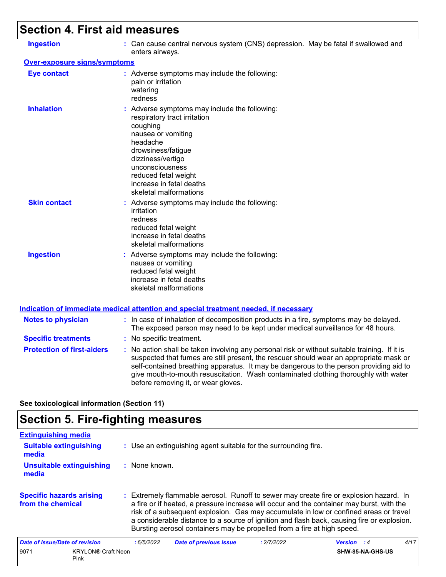# **Section 4. First aid measures**

| <b>Ingestion</b>                    | : Can cause central nervous system (CNS) depression. May be fatal if swallowed and<br>enters airways.                                                                                                                                                                                                                                                                                                           |
|-------------------------------------|-----------------------------------------------------------------------------------------------------------------------------------------------------------------------------------------------------------------------------------------------------------------------------------------------------------------------------------------------------------------------------------------------------------------|
| <b>Over-exposure signs/symptoms</b> |                                                                                                                                                                                                                                                                                                                                                                                                                 |
| <b>Eye contact</b>                  | : Adverse symptoms may include the following:<br>pain or irritation<br>watering<br>redness                                                                                                                                                                                                                                                                                                                      |
| <b>Inhalation</b>                   | : Adverse symptoms may include the following:<br>respiratory tract irritation<br>coughing<br>nausea or vomiting<br>headache<br>drowsiness/fatigue<br>dizziness/vertigo<br>unconsciousness<br>reduced fetal weight<br>increase in fetal deaths<br>skeletal malformations                                                                                                                                         |
| <b>Skin contact</b>                 | : Adverse symptoms may include the following:<br>irritation<br>redness<br>reduced fetal weight<br>increase in fetal deaths<br>skeletal malformations                                                                                                                                                                                                                                                            |
| <b>Ingestion</b>                    | : Adverse symptoms may include the following:<br>nausea or vomiting<br>reduced fetal weight<br>increase in fetal deaths<br>skeletal malformations                                                                                                                                                                                                                                                               |
|                                     | <u>Indication of immediate medical attention and special treatment needed, if necessary</u>                                                                                                                                                                                                                                                                                                                     |
| <b>Notes to physician</b>           | : In case of inhalation of decomposition products in a fire, symptoms may be delayed.<br>The exposed person may need to be kept under medical surveillance for 48 hours.                                                                                                                                                                                                                                        |
| <b>Specific treatments</b>          | : No specific treatment.                                                                                                                                                                                                                                                                                                                                                                                        |
| <b>Protection of first-aiders</b>   | : No action shall be taken involving any personal risk or without suitable training. If it is<br>suspected that fumes are still present, the rescuer should wear an appropriate mask or<br>self-contained breathing apparatus. It may be dangerous to the person providing aid to<br>give mouth-to-mouth resuscitation. Wash contaminated clothing thoroughly with water<br>before removing it, or wear gloves. |

**See toxicological information (Section 11)**

# **Section 5. Fire-fighting measures**

| <b>Extinguishing media</b>                           |           |                                                                                                                                                                                                                                                                                                                                                                                                                                                       |            |                    |      |  |  |
|------------------------------------------------------|-----------|-------------------------------------------------------------------------------------------------------------------------------------------------------------------------------------------------------------------------------------------------------------------------------------------------------------------------------------------------------------------------------------------------------------------------------------------------------|------------|--------------------|------|--|--|
| <b>Suitable extinguishing</b><br>media               |           | : Use an extinguishing agent suitable for the surrounding fire.                                                                                                                                                                                                                                                                                                                                                                                       |            |                    |      |  |  |
| <b>Unsuitable extinguishing</b><br>media             |           | : None known.                                                                                                                                                                                                                                                                                                                                                                                                                                         |            |                    |      |  |  |
| <b>Specific hazards arising</b><br>from the chemical |           | : Extremely flammable aerosol. Runoff to sewer may create fire or explosion hazard. In<br>a fire or if heated, a pressure increase will occur and the container may burst, with the<br>risk of a subsequent explosion. Gas may accumulate in low or confined areas or travel<br>a considerable distance to a source of ignition and flash back, causing fire or explosion.<br>Bursting aerosol containers may be propelled from a fire at high speed. |            |                    |      |  |  |
| Date of issue/Date of revision                       | :6/5/2022 | <b>Date of previous issue</b>                                                                                                                                                                                                                                                                                                                                                                                                                         | : 2/7/2022 | <b>Version</b> : 4 | 4/17 |  |  |
| 9071<br><b>KRYLON® Craft Neon</b><br>Pink            |           |                                                                                                                                                                                                                                                                                                                                                                                                                                                       |            | SHW-85-NA-GHS-US   |      |  |  |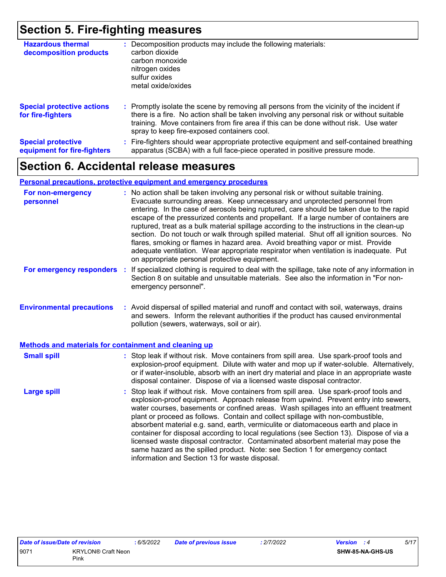## **Section 5. Fire-fighting measures**

| <b>Hazardous thermal</b><br>decomposition products       | Decomposition products may include the following materials:<br>carbon dioxide<br>carbon monoxide<br>nitrogen oxides<br>sulfur oxides<br>metal oxide/oxides                                                                                                                                                                    |
|----------------------------------------------------------|-------------------------------------------------------------------------------------------------------------------------------------------------------------------------------------------------------------------------------------------------------------------------------------------------------------------------------|
| <b>Special protective actions</b><br>for fire-fighters   | : Promptly isolate the scene by removing all persons from the vicinity of the incident if<br>there is a fire. No action shall be taken involving any personal risk or without suitable<br>training. Move containers from fire area if this can be done without risk. Use water<br>spray to keep fire-exposed containers cool. |
| <b>Special protective</b><br>equipment for fire-fighters | Fire-fighters should wear appropriate protective equipment and self-contained breathing<br>apparatus (SCBA) with a full face-piece operated in positive pressure mode.                                                                                                                                                        |

# **Section 6. Accidental release measures**

### **Personal precautions, protective equipment and emergency procedures**

| For non-emergency<br>personnel                               | : No action shall be taken involving any personal risk or without suitable training.<br>Evacuate surrounding areas. Keep unnecessary and unprotected personnel from<br>entering. In the case of aerosols being ruptured, care should be taken due to the rapid<br>escape of the pressurized contents and propellant. If a large number of containers are<br>ruptured, treat as a bulk material spillage according to the instructions in the clean-up<br>section. Do not touch or walk through spilled material. Shut off all ignition sources. No<br>flares, smoking or flames in hazard area. Avoid breathing vapor or mist. Provide<br>adequate ventilation. Wear appropriate respirator when ventilation is inadequate. Put<br>on appropriate personal protective equipment. |  |
|--------------------------------------------------------------|----------------------------------------------------------------------------------------------------------------------------------------------------------------------------------------------------------------------------------------------------------------------------------------------------------------------------------------------------------------------------------------------------------------------------------------------------------------------------------------------------------------------------------------------------------------------------------------------------------------------------------------------------------------------------------------------------------------------------------------------------------------------------------|--|
| For emergency responders                                     | If specialized clothing is required to deal with the spillage, take note of any information in<br>÷.<br>Section 8 on suitable and unsuitable materials. See also the information in "For non-<br>emergency personnel".                                                                                                                                                                                                                                                                                                                                                                                                                                                                                                                                                           |  |
| <b>Environmental precautions</b>                             | : Avoid dispersal of spilled material and runoff and contact with soil, waterways, drains<br>and sewers. Inform the relevant authorities if the product has caused environmental<br>pollution (sewers, waterways, soil or air).                                                                                                                                                                                                                                                                                                                                                                                                                                                                                                                                                  |  |
| <b>Methods and materials for containment and cleaning up</b> |                                                                                                                                                                                                                                                                                                                                                                                                                                                                                                                                                                                                                                                                                                                                                                                  |  |
| <b>Small spill</b>                                           | : Stop leak if without risk. Move containers from spill area. Use spark-proof tools and<br>explosion-proof equipment. Dilute with water and mop up if water-soluble. Alternatively,<br>or if water-insoluble, absorb with an inert dry material and place in an appropriate waste<br>disposal container. Dispose of via a licensed waste disposal contractor.                                                                                                                                                                                                                                                                                                                                                                                                                    |  |
| <b>Large spill</b>                                           | : Stop leak if without risk. Move containers from spill area. Use spark-proof tools and<br>explosion-proof equipment. Approach release from upwind. Prevent entry into sewers,<br>water courses, basements or confined areas. Wash spillages into an effluent treatment<br>plant or proceed as follows. Contain and collect spillage with non-combustible,<br>absorbent material e.g. sand, earth, vermiculite or diatomaceous earth and place in<br>container for disposal according to local regulations (see Section 13). Dispose of via a<br>licensed waste disposal contractor. Contaminated absorbent material may pose the<br>same hazard as the spilled product. Note: see Section 1 for emergency contact<br>information and Section 13 for waste disposal.             |  |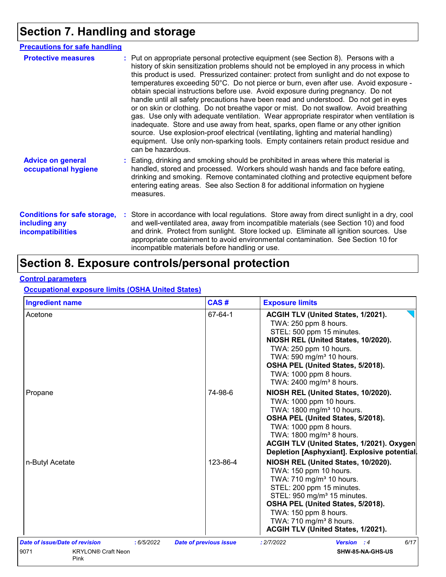# **Section 7. Handling and storage**

| <b>Precautions for safe handling</b>                                             |                                                                                                                                                                                                                                                                                                                                                                                                                                                                                                                                                                                                                                                                                                                                                                                                                                                                                                                                                                                                                           |
|----------------------------------------------------------------------------------|---------------------------------------------------------------------------------------------------------------------------------------------------------------------------------------------------------------------------------------------------------------------------------------------------------------------------------------------------------------------------------------------------------------------------------------------------------------------------------------------------------------------------------------------------------------------------------------------------------------------------------------------------------------------------------------------------------------------------------------------------------------------------------------------------------------------------------------------------------------------------------------------------------------------------------------------------------------------------------------------------------------------------|
| <b>Protective measures</b>                                                       | : Put on appropriate personal protective equipment (see Section 8). Persons with a<br>history of skin sensitization problems should not be employed in any process in which<br>this product is used. Pressurized container: protect from sunlight and do not expose to<br>temperatures exceeding 50°C. Do not pierce or burn, even after use. Avoid exposure -<br>obtain special instructions before use. Avoid exposure during pregnancy. Do not<br>handle until all safety precautions have been read and understood. Do not get in eyes<br>or on skin or clothing. Do not breathe vapor or mist. Do not swallow. Avoid breathing<br>gas. Use only with adequate ventilation. Wear appropriate respirator when ventilation is<br>inadequate. Store and use away from heat, sparks, open flame or any other ignition<br>source. Use explosion-proof electrical (ventilating, lighting and material handling)<br>equipment. Use only non-sparking tools. Empty containers retain product residue and<br>can be hazardous. |
| <b>Advice on general</b><br>occupational hygiene                                 | : Eating, drinking and smoking should be prohibited in areas where this material is<br>handled, stored and processed. Workers should wash hands and face before eating,<br>drinking and smoking. Remove contaminated clothing and protective equipment before<br>entering eating areas. See also Section 8 for additional information on hygiene<br>measures.                                                                                                                                                                                                                                                                                                                                                                                                                                                                                                                                                                                                                                                             |
| <b>Conditions for safe storage,</b><br>including any<br><b>incompatibilities</b> | : Store in accordance with local regulations. Store away from direct sunlight in a dry, cool<br>and well-ventilated area, away from incompatible materials (see Section 10) and food<br>and drink. Protect from sunlight. Store locked up. Eliminate all ignition sources. Use<br>appropriate containment to avoid environmental contamination. See Section 10 for<br>incompatible materials before handling or use.                                                                                                                                                                                                                                                                                                                                                                                                                                                                                                                                                                                                      |

# **Section 8. Exposure controls/personal protection**

#### **Control parameters**

## **Occupational exposure limits (OSHA United States)**

| <b>Ingredient name</b>                       | CAS#                          | <b>Exposure limits</b>                                                                                                                                                                                                                                                                                                   |
|----------------------------------------------|-------------------------------|--------------------------------------------------------------------------------------------------------------------------------------------------------------------------------------------------------------------------------------------------------------------------------------------------------------------------|
| Acetone                                      | 67-64-1                       | <b>ACGIH TLV (United States, 1/2021).</b><br>TWA: 250 ppm 8 hours.<br>STEL: 500 ppm 15 minutes.<br>NIOSH REL (United States, 10/2020).<br>TWA: 250 ppm 10 hours.<br>TWA: 590 mg/m <sup>3</sup> 10 hours.<br>OSHA PEL (United States, 5/2018).<br>TWA: 1000 ppm 8 hours.<br>TWA: 2400 mg/m <sup>3</sup> 8 hours.          |
| Propane                                      | 74-98-6                       | NIOSH REL (United States, 10/2020).<br>TWA: 1000 ppm 10 hours.<br>TWA: 1800 mg/m <sup>3</sup> 10 hours.<br>OSHA PEL (United States, 5/2018).<br>TWA: 1000 ppm 8 hours.<br>TWA: 1800 mg/m <sup>3</sup> 8 hours.<br>ACGIH TLV (United States, 1/2021). Oxygen<br>Depletion [Asphyxiant]. Explosive potential.              |
| n-Butyl Acetate                              | 123-86-4                      | NIOSH REL (United States, 10/2020).<br>TWA: 150 ppm 10 hours.<br>TWA: 710 mg/m <sup>3</sup> 10 hours.<br>STEL: 200 ppm 15 minutes.<br>STEL: 950 mg/m <sup>3</sup> 15 minutes.<br>OSHA PEL (United States, 5/2018).<br>TWA: 150 ppm 8 hours.<br>TWA: 710 mg/m <sup>3</sup> 8 hours.<br>ACGIH TLV (United States, 1/2021). |
| Date of issue/Date of revision<br>: 6/5/2022 | <b>Date of previous issue</b> | 6/17<br>: 2/7/2022<br>Version : 4                                                                                                                                                                                                                                                                                        |
| 9071<br><b>KRYLON® Craft Neon</b><br>Pink    |                               | SHW-85-NA-GHS-US                                                                                                                                                                                                                                                                                                         |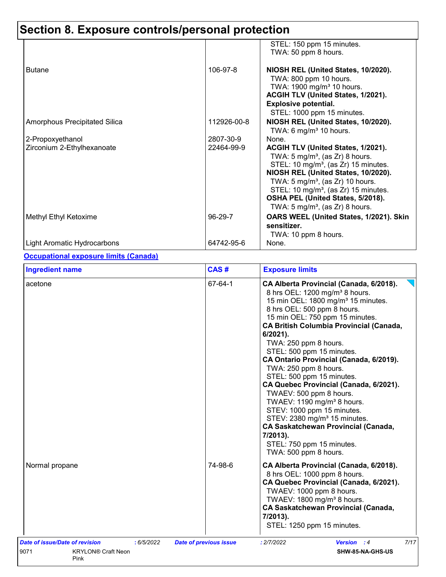|                               |             | STEL: 150 ppm 15 minutes.<br>TWA: 50 ppm 8 hours.                                                                                                                                                                                                                                                                                                                   |
|-------------------------------|-------------|---------------------------------------------------------------------------------------------------------------------------------------------------------------------------------------------------------------------------------------------------------------------------------------------------------------------------------------------------------------------|
| <b>Butane</b>                 | 106-97-8    | NIOSH REL (United States, 10/2020).<br>TWA: 800 ppm 10 hours.<br>TWA: 1900 mg/m <sup>3</sup> 10 hours.<br>ACGIH TLV (United States, 1/2021).<br><b>Explosive potential.</b><br>STEL: 1000 ppm 15 minutes.                                                                                                                                                           |
| Amorphous Precipitated Silica | 112926-00-8 | NIOSH REL (United States, 10/2020).<br>TWA: 6 mg/m <sup>3</sup> 10 hours.                                                                                                                                                                                                                                                                                           |
| 2-Propoxyethanol              | 2807-30-9   | None.                                                                                                                                                                                                                                                                                                                                                               |
| Zirconium 2-Ethylhexanoate    | 22464-99-9  | ACGIH TLV (United States, 1/2021).<br>TWA: 5 mg/m <sup>3</sup> , (as Zr) 8 hours.<br>STEL: 10 mg/m <sup>3</sup> , (as Zr) 15 minutes.<br>NIOSH REL (United States, 10/2020).<br>TWA: $5 \text{ mg/m}^3$ , (as Zr) 10 hours.<br>STEL: 10 mg/m <sup>3</sup> , (as Zr) 15 minutes.<br>OSHA PEL (United States, 5/2018).<br>TWA: 5 mg/m <sup>3</sup> , (as Zr) 8 hours. |
| Methyl Ethyl Ketoxime         | 96-29-7     | OARS WEEL (United States, 1/2021). Skin<br>sensitizer.<br>TWA: 10 ppm 8 hours.                                                                                                                                                                                                                                                                                      |
| Light Aromatic Hydrocarbons   | 64742-95-6  | None.                                                                                                                                                                                                                                                                                                                                                               |

## **Occupational exposure limits (Canada)**

| <b>Ingredient name</b>                                                                   | CAS#                          | <b>Exposure limits</b>                                                                                                                                                                                                                                                                                                                                                                                                                                                                                                                                                                                                                                                                                                                  |
|------------------------------------------------------------------------------------------|-------------------------------|-----------------------------------------------------------------------------------------------------------------------------------------------------------------------------------------------------------------------------------------------------------------------------------------------------------------------------------------------------------------------------------------------------------------------------------------------------------------------------------------------------------------------------------------------------------------------------------------------------------------------------------------------------------------------------------------------------------------------------------------|
| acetone                                                                                  | 67-64-1                       | CA Alberta Provincial (Canada, 6/2018).<br>8 hrs OEL: 1200 mg/m <sup>3</sup> 8 hours.<br>15 min OEL: 1800 mg/m <sup>3</sup> 15 minutes.<br>8 hrs OEL: 500 ppm 8 hours.<br>15 min OEL: 750 ppm 15 minutes.<br><b>CA British Columbia Provincial (Canada,</b><br>6/2021).<br>TWA: 250 ppm 8 hours.<br>STEL: 500 ppm 15 minutes.<br>CA Ontario Provincial (Canada, 6/2019).<br>TWA: 250 ppm 8 hours.<br>STEL: 500 ppm 15 minutes.<br>CA Quebec Provincial (Canada, 6/2021).<br>TWAEV: 500 ppm 8 hours.<br>TWAEV: 1190 mg/m <sup>3</sup> 8 hours.<br>STEV: 1000 ppm 15 minutes.<br>STEV: 2380 mg/m <sup>3</sup> 15 minutes.<br><b>CA Saskatchewan Provincial (Canada,</b><br>7/2013).<br>STEL: 750 ppm 15 minutes.<br>TWA: 500 ppm 8 hours. |
| Normal propane                                                                           | 74-98-6                       | CA Alberta Provincial (Canada, 6/2018).<br>8 hrs OEL: 1000 ppm 8 hours.<br>CA Quebec Provincial (Canada, 6/2021).<br>TWAEV: 1000 ppm 8 hours.<br>TWAEV: 1800 mg/m <sup>3</sup> 8 hours.<br><b>CA Saskatchewan Provincial (Canada,</b><br>7/2013).<br>STEL: 1250 ppm 15 minutes.                                                                                                                                                                                                                                                                                                                                                                                                                                                         |
| Date of issue/Date of revision<br>:6/5/2022<br>9071<br><b>KRYLON® Craft Neon</b><br>Pink | <b>Date of previous issue</b> | 7/17<br>: 2/7/2022<br><b>Version</b> : 4<br>SHW-85-NA-GHS-US                                                                                                                                                                                                                                                                                                                                                                                                                                                                                                                                                                                                                                                                            |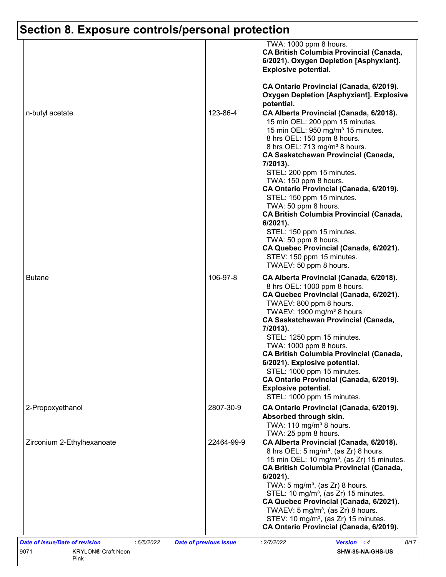|                            |            | TWA: 1000 ppm 8 hours.<br><b>CA British Columbia Provincial (Canada,</b><br>6/2021). Oxygen Depletion [Asphyxiant].<br><b>Explosive potential.</b>                                                                                                                                                                                                                                                                                                                                                                                                                                                                                                                                                                            |
|----------------------------|------------|-------------------------------------------------------------------------------------------------------------------------------------------------------------------------------------------------------------------------------------------------------------------------------------------------------------------------------------------------------------------------------------------------------------------------------------------------------------------------------------------------------------------------------------------------------------------------------------------------------------------------------------------------------------------------------------------------------------------------------|
| n-butyl acetate            | 123-86-4   | CA Ontario Provincial (Canada, 6/2019).<br><b>Oxygen Depletion [Asphyxiant]. Explosive</b><br>potential.<br>CA Alberta Provincial (Canada, 6/2018).<br>15 min OEL: 200 ppm 15 minutes.<br>15 min OEL: 950 mg/m <sup>3</sup> 15 minutes.<br>8 hrs OEL: 150 ppm 8 hours.<br>8 hrs OEL: 713 mg/m <sup>3</sup> 8 hours.<br><b>CA Saskatchewan Provincial (Canada,</b><br>7/2013).<br>STEL: 200 ppm 15 minutes.<br>TWA: 150 ppm 8 hours.<br>CA Ontario Provincial (Canada, 6/2019).<br>STEL: 150 ppm 15 minutes.<br>TWA: 50 ppm 8 hours.<br><b>CA British Columbia Provincial (Canada,</b><br>6/2021).<br>STEL: 150 ppm 15 minutes.<br>TWA: 50 ppm 8 hours.<br>CA Quebec Provincial (Canada, 6/2021).<br>STEV: 150 ppm 15 minutes. |
| <b>Butane</b>              | 106-97-8   | TWAEV: 50 ppm 8 hours.<br>CA Alberta Provincial (Canada, 6/2018).<br>8 hrs OEL: 1000 ppm 8 hours.<br>CA Quebec Provincial (Canada, 6/2021).<br>TWAEV: 800 ppm 8 hours.<br>TWAEV: 1900 mg/m <sup>3</sup> 8 hours.<br><b>CA Saskatchewan Provincial (Canada,</b><br>7/2013).<br>STEL: 1250 ppm 15 minutes.<br>TWA: 1000 ppm 8 hours.<br><b>CA British Columbia Provincial (Canada,</b><br>6/2021). Explosive potential.<br>STEL: 1000 ppm 15 minutes.<br>CA Ontario Provincial (Canada, 6/2019).<br><b>Explosive potential.</b><br>STEL: 1000 ppm 15 minutes.                                                                                                                                                                   |
| 2-Propoxyethanol           | 2807-30-9  | CA Ontario Provincial (Canada, 6/2019).<br>Absorbed through skin.<br>TWA: $110 \text{ mg/m}^3$ 8 hours.<br>TWA: 25 ppm 8 hours.                                                                                                                                                                                                                                                                                                                                                                                                                                                                                                                                                                                               |
| Zirconium 2-Ethylhexanoate | 22464-99-9 | CA Alberta Provincial (Canada, 6/2018).<br>8 hrs OEL: 5 mg/m <sup>3</sup> , (as Zr) 8 hours.<br>15 min OEL: 10 mg/m <sup>3</sup> , (as Zr) 15 minutes.<br><b>CA British Columbia Provincial (Canada,</b><br>$6/2021$ ).<br>TWA: $5 \text{ mg/m}^3$ , (as Zr) 8 hours.<br>STEL: 10 mg/m <sup>3</sup> , (as Zr) 15 minutes.<br>CA Quebec Provincial (Canada, 6/2021).<br>TWAEV: $5 \text{ mg/m}^3$ , (as Zr) 8 hours.<br>STEV: 10 mg/m <sup>3</sup> , (as Zr) 15 minutes.<br>CA Ontario Provincial (Canada, 6/2019).                                                                                                                                                                                                            |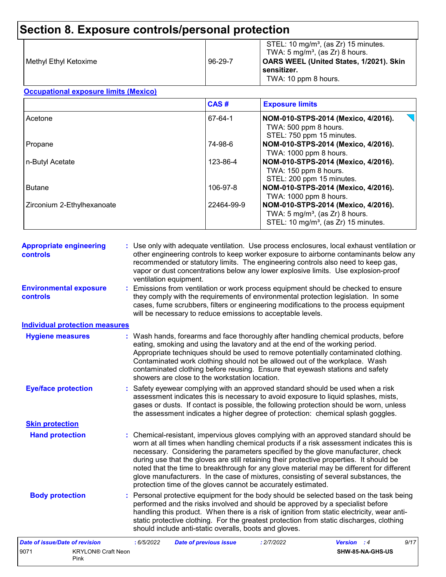| l Methvl Ethvl Ketoxime | 96-29-7 | STEL: 10 mg/m <sup>3</sup> , (as Zr) 15 minutes.<br>TWA: 5 mg/m <sup>3</sup> , (as Zr) 8 hours.<br>OARS WEEL (United States, 1/2021). Skin<br>sensitizer.<br>TWA: 10 ppm 8 hours. |
|-------------------------|---------|-----------------------------------------------------------------------------------------------------------------------------------------------------------------------------------|
|-------------------------|---------|-----------------------------------------------------------------------------------------------------------------------------------------------------------------------------------|

#### **Occupational exposure limits (Mexico)**

|                            | CAS#       | <b>Exposure limits</b>                                                                                                                |
|----------------------------|------------|---------------------------------------------------------------------------------------------------------------------------------------|
| Acetone                    | 67-64-1    | NOM-010-STPS-2014 (Mexico, 4/2016).<br>TWA: 500 ppm 8 hours.<br>STEL: 750 ppm 15 minutes.                                             |
| Propane                    | 74-98-6    | NOM-010-STPS-2014 (Mexico, 4/2016).<br>TWA: 1000 ppm 8 hours.                                                                         |
| n-Butyl Acetate            | 123-86-4   | NOM-010-STPS-2014 (Mexico, 4/2016).<br>TWA: 150 ppm 8 hours.<br>STEL: 200 ppm 15 minutes.                                             |
| <b>Butane</b>              | 106-97-8   | NOM-010-STPS-2014 (Mexico, 4/2016).<br>TWA: 1000 ppm 8 hours.                                                                         |
| Zirconium 2-Ethylhexanoate | 22464-99-9 | NOM-010-STPS-2014 (Mexico, 4/2016).<br>TWA: $5 \text{ mg/m}^3$ , (as Zr) 8 hours.<br>STEL: 10 mg/m <sup>3</sup> , (as Zr) 15 minutes. |

| <b>Appropriate engineering</b><br>controls | : Use only with adequate ventilation. Use process enclosures, local exhaust ventilation or<br>other engineering controls to keep worker exposure to airborne contaminants below any<br>recommended or statutory limits. The engineering controls also need to keep gas,<br>vapor or dust concentrations below any lower explosive limits. Use explosion-proof<br>ventilation equipment.                                                                                                                                                                                                                                |
|--------------------------------------------|------------------------------------------------------------------------------------------------------------------------------------------------------------------------------------------------------------------------------------------------------------------------------------------------------------------------------------------------------------------------------------------------------------------------------------------------------------------------------------------------------------------------------------------------------------------------------------------------------------------------|
| <b>Environmental exposure</b><br>controls  | : Emissions from ventilation or work process equipment should be checked to ensure<br>they comply with the requirements of environmental protection legislation. In some<br>cases, fume scrubbers, filters or engineering modifications to the process equipment<br>will be necessary to reduce emissions to acceptable levels.                                                                                                                                                                                                                                                                                        |
| <b>Individual protection measures</b>      |                                                                                                                                                                                                                                                                                                                                                                                                                                                                                                                                                                                                                        |
| <b>Hygiene measures</b>                    | : Wash hands, forearms and face thoroughly after handling chemical products, before<br>eating, smoking and using the lavatory and at the end of the working period.<br>Appropriate techniques should be used to remove potentially contaminated clothing.<br>Contaminated work clothing should not be allowed out of the workplace. Wash<br>contaminated clothing before reusing. Ensure that eyewash stations and safety<br>showers are close to the workstation location.                                                                                                                                            |
| <b>Eye/face protection</b>                 | : Safety eyewear complying with an approved standard should be used when a risk<br>assessment indicates this is necessary to avoid exposure to liquid splashes, mists,<br>gases or dusts. If contact is possible, the following protection should be worn, unless<br>the assessment indicates a higher degree of protection: chemical splash goggles.                                                                                                                                                                                                                                                                  |
| <b>Skin protection</b>                     |                                                                                                                                                                                                                                                                                                                                                                                                                                                                                                                                                                                                                        |
| <b>Hand protection</b>                     | : Chemical-resistant, impervious gloves complying with an approved standard should be<br>worn at all times when handling chemical products if a risk assessment indicates this is<br>necessary. Considering the parameters specified by the glove manufacturer, check<br>during use that the gloves are still retaining their protective properties. It should be<br>noted that the time to breakthrough for any glove material may be different for different<br>glove manufacturers. In the case of mixtures, consisting of several substances, the<br>protection time of the gloves cannot be accurately estimated. |
| <b>Body protection</b>                     | : Personal protective equipment for the body should be selected based on the task being<br>performed and the risks involved and should be approved by a specialist before<br>handling this product. When there is a risk of ignition from static electricity, wear anti-<br>static protective clothing. For the greatest protection from static discharges, clothing<br>should include anti-static overalls, boots and gloves.                                                                                                                                                                                         |
| <b>Date of issue/Date of revision</b>      | : 6/5/2022<br>: 2/7/2022<br><b>Version</b> : 4<br>9/17<br><b>Date of previous issue</b>                                                                                                                                                                                                                                                                                                                                                                                                                                                                                                                                |

|      |                           | . | $\frac{1}{2}$ and $\frac{1}{2}$ , $\frac{1}{2}$ , $\frac{1}{2}$ , $\frac{1}{2}$ , $\frac{1}{2}$ , $\frac{1}{2}$ , $\frac{1}{2}$ , $\frac{1}{2}$ | . |                  |
|------|---------------------------|---|-------------------------------------------------------------------------------------------------------------------------------------------------|---|------------------|
| 907' | <b>KRYLON® Craft Neon</b> |   |                                                                                                                                                 |   | SHW-85-NA-GHS-US |
|      | Pink                      |   |                                                                                                                                                 |   |                  |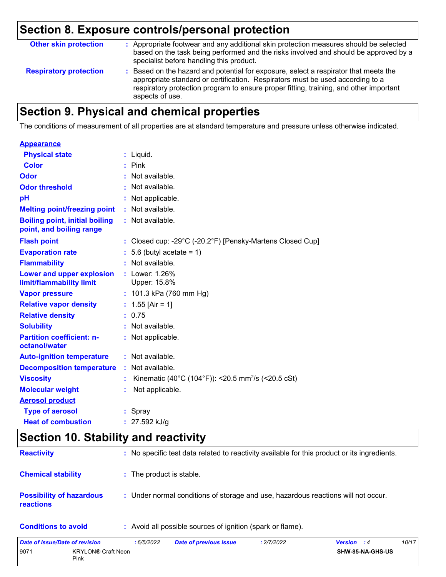| <b>Other skin protection</b>  | : Appropriate footwear and any additional skin protection measures should be selected<br>based on the task being performed and the risks involved and should be approved by a<br>specialist before handling this product.                                                           |
|-------------------------------|-------------------------------------------------------------------------------------------------------------------------------------------------------------------------------------------------------------------------------------------------------------------------------------|
| <b>Respiratory protection</b> | : Based on the hazard and potential for exposure, select a respirator that meets the<br>appropriate standard or certification. Respirators must be used according to a<br>respiratory protection program to ensure proper fitting, training, and other important<br>aspects of use. |

# **Section 9. Physical and chemical properties**

The conditions of measurement of all properties are at standard temperature and pressure unless otherwise indicated.

| <b>Appearance</b>                                                 |    |                                                                |
|-------------------------------------------------------------------|----|----------------------------------------------------------------|
| <b>Physical state</b>                                             |    | $:$ Liquid.                                                    |
| <b>Color</b>                                                      |    | $:$ Pink                                                       |
| <b>Odor</b>                                                       |    | Not available.                                                 |
| <b>Odor threshold</b>                                             |    | Not available.                                                 |
| pH                                                                |    | Not applicable.                                                |
| <b>Melting point/freezing point</b>                               |    | : Not available.                                               |
| <b>Boiling point, initial boiling</b><br>point, and boiling range |    | : Not available.                                               |
| <b>Flash point</b>                                                |    | : Closed cup: -29°C (-20.2°F) [Pensky-Martens Closed Cup]      |
| <b>Evaporation rate</b>                                           |    | 5.6 (butyl acetate = $1$ )                                     |
| <b>Flammability</b>                                               |    | Not available.                                                 |
| Lower and upper explosion<br>limit/flammability limit             |    | : Lower: 1.26%<br>Upper: 15.8%                                 |
| <b>Vapor pressure</b>                                             |    | : $101.3$ kPa (760 mm Hg)                                      |
| <b>Relative vapor density</b>                                     |    | : $1.55$ [Air = 1]                                             |
| <b>Relative density</b>                                           |    | : 0.75                                                         |
| <b>Solubility</b>                                                 |    | : Not available.                                               |
| <b>Partition coefficient: n-</b><br>octanol/water                 |    | Not applicable.                                                |
| <b>Auto-ignition temperature</b>                                  |    | : Not available.                                               |
| <b>Decomposition temperature</b>                                  | ÷. | Not available.                                                 |
| <b>Viscosity</b>                                                  |    | Kinematic (40°C (104°F)): <20.5 mm <sup>2</sup> /s (<20.5 cSt) |
| <b>Molecular weight</b>                                           |    | Not applicable.                                                |
| <b>Aerosol product</b>                                            |    |                                                                |
| <b>Type of aerosol</b>                                            |    | : Spray                                                        |
| <b>Heat of combustion</b>                                         |    | $: 27.592$ kJ/g                                                |

# **Section 10. Stability and reactivity**

| <b>Reactivity</b>                            | : No specific test data related to reactivity available for this product or its ingredients. |
|----------------------------------------------|----------------------------------------------------------------------------------------------|
| <b>Chemical stability</b>                    | : The product is stable.                                                                     |
| <b>Possibility of hazardous</b><br>reactions | : Under normal conditions of storage and use, hazardous reactions will not occur.            |
| <b>Conditions to avoid</b>                   | : Avoid all possible sources of ignition (spark or flame).                                   |

| Date of issue/Date of revision |                                   | 6/5/2022 | <b>Date of previous issue</b> | : 2/7/2022 | <b>Version</b> : 4 |                  | 10/17 |
|--------------------------------|-----------------------------------|----------|-------------------------------|------------|--------------------|------------------|-------|
| 9071                           | <b>KRYLON® Craft Neon</b><br>Pink |          |                               |            |                    | SHW-85-NA-GHS-US |       |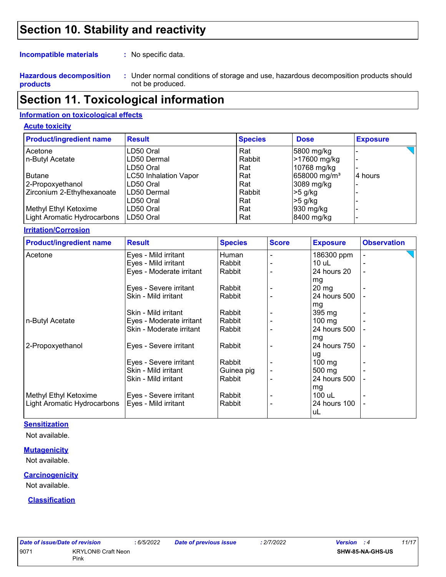## **Section 10. Stability and reactivity**

**Incompatible materials :**

: No specific data.

**Hazardous decomposition products**

Under normal conditions of storage and use, hazardous decomposition products should **:** not be produced.

## **Section 11. Toxicological information**

## **Information on toxicological effects**

### **Acute toxicity**

| <b>Product/ingredient name</b> | <b>Result</b>                | <b>Species</b> | <b>Dose</b>              | <b>Exposure</b> |
|--------------------------------|------------------------------|----------------|--------------------------|-----------------|
| Acetone                        | LD50 Oral                    | Rat            | 5800 mg/kg               |                 |
| n-Butyl Acetate                | LD50 Dermal                  | Rabbit         | >17600 mg/kg             |                 |
|                                | LD50 Oral                    | Rat            | 10768 mg/kg              |                 |
| <b>Butane</b>                  | <b>LC50 Inhalation Vapor</b> | Rat            | 658000 mg/m <sup>3</sup> | 4 hours         |
| 2-Propoxyethanol               | LD50 Oral                    | Rat            | 3089 mg/kg               |                 |
| Zirconium 2-Ethylhexanoate     | ILD50 Dermal                 | Rabbit         | $>5$ g/kg                |                 |
|                                | LD50 Oral                    | Rat            | $>5$ g/kg                |                 |
| Methyl Ethyl Ketoxime          | LD50 Oral                    | Rat            | 930 mg/kg                |                 |
| Light Aromatic Hydrocarbons    | ILD50 Oral                   | Rat            | 8400 mg/kg               |                 |

#### **Irritation/Corrosion**

| <b>Product/ingredient name</b> | <b>Result</b>            | <b>Species</b> | <b>Score</b> | <b>Exposure</b>    | <b>Observation</b>       |
|--------------------------------|--------------------------|----------------|--------------|--------------------|--------------------------|
| Acetone                        | Eyes - Mild irritant     | Human          |              | 186300 ppm         | $\overline{\phantom{a}}$ |
|                                | Eyes - Mild irritant     | Rabbit         |              | $10$ uL            |                          |
|                                | Eyes - Moderate irritant | Rabbit         |              | 24 hours 20        |                          |
|                                | Eyes - Severe irritant   | Rabbit         |              | mg<br>$20 \, mg$   |                          |
|                                | Skin - Mild irritant     | Rabbit         |              | 24 hours 500       |                          |
|                                |                          |                |              | mg                 |                          |
|                                | Skin - Mild irritant     | Rabbit         |              | 395 mg             |                          |
| n-Butyl Acetate                | Eyes - Moderate irritant | Rabbit         |              | $100$ mg           |                          |
|                                | Skin - Moderate irritant | Rabbit         |              | 24 hours 500       |                          |
|                                |                          |                |              | mg                 |                          |
| 2-Propoxyethanol               | Eyes - Severe irritant   | Rabbit         |              | 24 hours 750       |                          |
|                                |                          |                |              | ug                 |                          |
|                                | Eyes - Severe irritant   | Rabbit         |              | $100 \text{ mg}$   |                          |
|                                | Skin - Mild irritant     | Guinea pig     |              | 500 mg             |                          |
|                                | Skin - Mild irritant     | Rabbit         |              | 24 hours 500       |                          |
|                                |                          |                |              | mg                 |                          |
| Methyl Ethyl Ketoxime          | Eyes - Severe irritant   | Rabbit         |              | 100 uL             |                          |
| Light Aromatic Hydrocarbons    | Eyes - Mild irritant     | Rabbit         |              | 24 hours 100<br>uL | ۰                        |

#### **Sensitization**

Not available.

#### **Mutagenicity**

Not available.

#### **Carcinogenicity**

Not available.

#### **Classification**

| Date of issue/Date of revision |                                   | : 6/5/20 |
|--------------------------------|-----------------------------------|----------|
| 9071                           | <b>KRYLON® Craft Neon</b><br>Pink |          |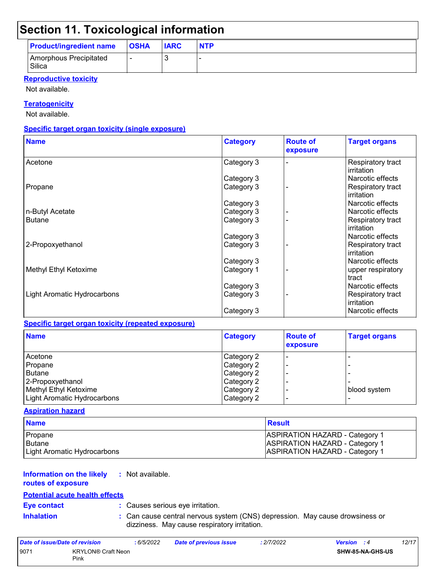## **Section 11. Toxicological information**

| <b>Product/ingredient name</b>   | <b>OSHA</b> | <b>IARC</b> | <b>NTP</b> |
|----------------------------------|-------------|-------------|------------|
| Amorphous Precipitated<br>Silica |             |             |            |

#### **Reproductive toxicity**

Not available.

### **Teratogenicity**

Not available.

### **Specific target organ toxicity (single exposure)**

| <b>Name</b>                 | <b>Category</b> | <b>Route of</b><br>exposure | <b>Target organs</b>            |
|-----------------------------|-----------------|-----------------------------|---------------------------------|
| Acetone                     | Category 3      |                             | Respiratory tract<br>irritation |
|                             | Category 3      |                             | Narcotic effects                |
| Propane                     | Category 3      |                             | Respiratory tract<br>irritation |
|                             | Category 3      |                             | Narcotic effects                |
| n-Butyl Acetate             | Category 3      |                             | Narcotic effects                |
| <b>Butane</b>               | Category 3      |                             | Respiratory tract<br>irritation |
|                             | Category 3      |                             | Narcotic effects                |
| 2-Propoxyethanol            | Category 3      |                             | Respiratory tract<br>irritation |
|                             | Category 3      |                             | Narcotic effects                |
| Methyl Ethyl Ketoxime       | Category 1      |                             | upper respiratory<br>tract      |
|                             | Category 3      |                             | Narcotic effects                |
| Light Aromatic Hydrocarbons | Category 3      |                             | Respiratory tract<br>irritation |
|                             | Category 3      |                             | Narcotic effects                |

#### **Specific target organ toxicity (repeated exposure)**

| <b>Name</b>                 | <b>Category</b> | <b>Route of</b><br>exposure | <b>Target organs</b> |
|-----------------------------|-----------------|-----------------------------|----------------------|
| Acetone                     | Category 2      |                             |                      |
| Propane                     | Category 2      |                             |                      |
| <b>Butane</b>               | Category 2      |                             |                      |
| 2-Propoxyethanol            | Category 2      |                             |                      |
| Methyl Ethyl Ketoxime       | Category 2      |                             | blood system         |
| Light Aromatic Hydrocarbons | Category 2      |                             |                      |

#### **Aspiration hazard**

| <b>Name</b>                 | Result                                |
|-----------------------------|---------------------------------------|
| <b>Propane</b>              | <b>ASPIRATION HAZARD - Category 1</b> |
| Butane                      | <b>ASPIRATION HAZARD - Category 1</b> |
| Light Aromatic Hydrocarbons | ASPIRATION HAZARD - Category 1        |

#### **Information on the likely :** Not available.

## **routes of exposure**

## **Potential acute health effects**

**Eye contact :** Causes serious eye irritation.

**Inhalation :** Can cause central nervous system (CNS) depression. May cause drowsiness or dizziness. May cause respiratory irritation.

| Date of issue/Date of revision |                                   | : 6/5/2022 | <b>Date of previous issue</b> | : 2/7/2022 | <b>Version</b> : 4 |                         | 12/17 |
|--------------------------------|-----------------------------------|------------|-------------------------------|------------|--------------------|-------------------------|-------|
| 9071                           | <b>KRYLON® Craft Neon</b><br>Pink |            |                               |            |                    | <b>SHW-85-NA-GHS-US</b> |       |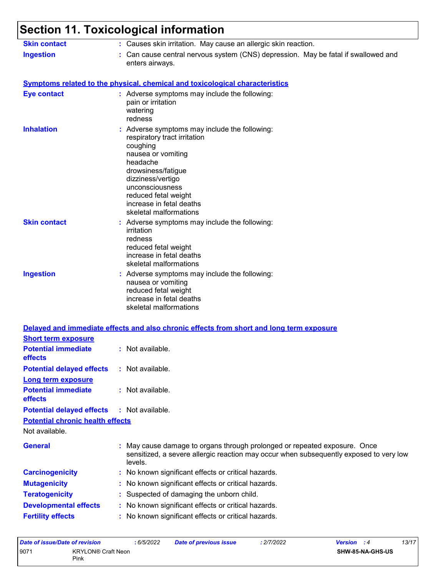#### **Section 11. Toxicological information** Not available. Can cause central nervous system (CNS) depression. May be fatal if swallowed and enters airways. **Ingestion : Skin contact :** Causes skin irritation. May cause an allergic skin reaction. May cause damage to organs through prolonged or repeated exposure. Once sensitized, a severe allergic reaction may occur when subsequently exposed to very low levels. **General : Carcinogenicity :** No known significant effects or critical hazards. **Mutagenicity :** No known significant effects or critical hazards. **Symptoms related to the physical, chemical and toxicological characteristics Skin contact Ingestion Inhalation Adverse symptoms may include the following:**  $\blacksquare$ respiratory tract irritation coughing nausea or vomiting headache drowsiness/fatigue dizziness/vertigo unconsciousness reduced fetal weight increase in fetal deaths skeletal malformations Adverse symptoms may include the following: **:** nausea or vomiting reduced fetal weight increase in fetal deaths skeletal malformations Adverse symptoms may include the following: **:** irritation redness reduced fetal weight increase in fetal deaths skeletal malformations **Eye contact :** Adverse symptoms may include the following: pain or irritation watering redness **Potential chronic health effects Delayed and immediate effects and also chronic effects from short and long term exposure Potential immediate effects :** Not available. **Short term exposure Potential delayed effects :** Not available. **Potential immediate effects :** Not available. **Long term exposure Potential delayed effects :** Not available.

- **Teratogenicity :** Suspected of damaging the unborn child.
- **Developmental effects :** No known significant effects or critical hazards.
- **Fertility effects :** No known significant effects or critical hazards.

| Date of issue/Date of revision |                                   | : 6/5/2022 | <b>Date of previous issue</b> | : 2/7/2022 | <b>Version</b> : 4      | 13/17 |
|--------------------------------|-----------------------------------|------------|-------------------------------|------------|-------------------------|-------|
| 9071                           | <b>KRYLON® Craft Neon</b><br>Pink |            |                               |            | <b>SHW-85-NA-GHS-US</b> |       |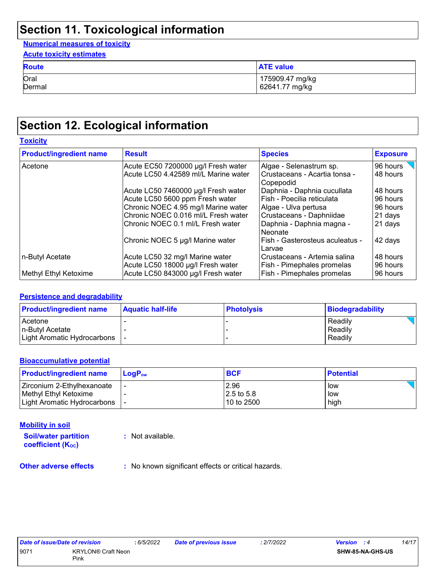# **Section 11. Toxicological information**

### **Numerical measures of toxicity**

| <b>Acute toxicity estimates</b> |                                   |  |
|---------------------------------|-----------------------------------|--|
| <b>Route</b>                    | <b>ATE value</b>                  |  |
| Oral<br>Dermal                  | 175909.47 mg/kg<br>62641.77 mg/kg |  |
|                                 |                                   |  |

## **Section 12. Ecological information**

## **Toxicity**

| <b>Product/ingredient name</b> | <b>Result</b>                                                        | <b>Species</b>                                             | <b>Exposure</b>      |  |
|--------------------------------|----------------------------------------------------------------------|------------------------------------------------------------|----------------------|--|
| Acetone                        | Acute EC50 7200000 µg/l Fresh water                                  | Algae - Selenastrum sp.                                    | 96 hours             |  |
|                                | Acute LC50 4.42589 ml/L Marine water                                 | Crustaceans - Acartia tonsa -<br>Copepodid                 | 48 hours             |  |
|                                | Acute LC50 7460000 µg/l Fresh water                                  | Daphnia - Daphnia cucullata                                | 48 hours             |  |
|                                | Acute LC50 5600 ppm Fresh water                                      | Fish - Poecilia reticulata                                 | 96 hours             |  |
|                                | Chronic NOEC 4.95 mg/l Marine water                                  | Algae - Ulva pertusa                                       | 96 hours             |  |
|                                | Chronic NOEC 0.016 ml/L Fresh water                                  | Crustaceans - Daphniidae                                   | 21 days              |  |
|                                | lChronic NOEC 0.1 ml/L Fresh water                                   | Daphnia - Daphnia magna -<br>Neonate                       | 21 days              |  |
|                                | Chronic NOEC 5 µg/l Marine water                                     | Fish - Gasterosteus aculeatus -<br>Larvae                  | 42 days              |  |
| n-Butyl Acetate                | Acute LC50 32 mg/l Marine water<br>Acute LC50 18000 µg/l Fresh water | Crustaceans - Artemia salina<br>Fish - Pimephales promelas | 48 hours<br>96 hours |  |
| Methyl Ethyl Ketoxime          | Acute LC50 843000 µg/l Fresh water                                   | Fish - Pimephales promelas                                 | 96 hours             |  |

### **Persistence and degradability**

| <b>Product/ingredient name</b> | <b>Aquatic half-life</b> | <b>Photolysis</b> | Biodegradability |
|--------------------------------|--------------------------|-------------------|------------------|
| Acetone                        |                          |                   | Readily          |
| In-Butyl Acetate               |                          |                   | Readily          |
| Light Aromatic Hydrocarbons    |                          |                   | Readily          |

### **Bioaccumulative potential**

| <b>Product/ingredient name</b> | $LoaPow$ | <b>BCF</b> | <b>Potential</b> |
|--------------------------------|----------|------------|------------------|
| Zirconium 2-Ethylhexanoate     |          | 2.96       | low              |
| l Methvl Ethvl Ketoxime        |          | 2.5 to 5.8 | low              |
| Light Aromatic Hydrocarbons    |          | 10 to 2500 | high             |

#### **Mobility in soil**

**Soil/water partition coefficient (KOC)**

**:** Not available.

**Other adverse effects** : No known significant effects or critical hazards.

| Date of issue/Date of revision | :6/5/20                   |  |
|--------------------------------|---------------------------|--|
| 9071                           | <b>KRYLON® Craft Neon</b> |  |
|                                | Pink                      |  |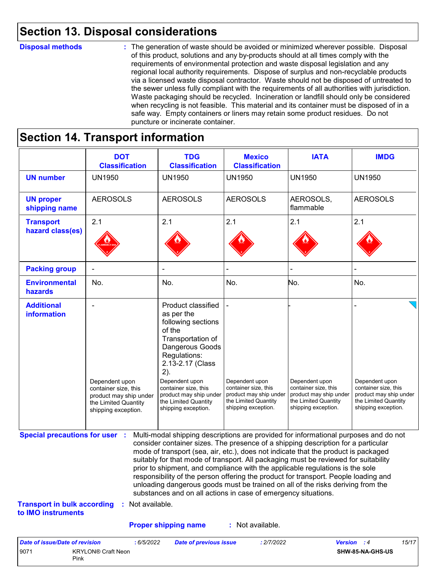## **Section 13. Disposal considerations**

#### **Disposal methods :**

The generation of waste should be avoided or minimized wherever possible. Disposal of this product, solutions and any by-products should at all times comply with the requirements of environmental protection and waste disposal legislation and any regional local authority requirements. Dispose of surplus and non-recyclable products via a licensed waste disposal contractor. Waste should not be disposed of untreated to the sewer unless fully compliant with the requirements of all authorities with jurisdiction. Waste packaging should be recycled. Incineration or landfill should only be considered when recycling is not feasible. This material and its container must be disposed of in a safe way. Empty containers or liners may retain some product residues. Do not puncture or incinerate container.

# **Section 14. Transport information**

9071 KRYLON® Craft Neon Pink

|                                                                             | <b>DOT</b><br><b>Classification</b>                                                                             | <b>TDG</b><br><b>Classification</b>                                                                                                                                                                                                                                                                                                                                                                                                                                                                                                                                                                                                                                                 | <b>Mexico</b><br><b>Classification</b>                                                                          | <b>IATA</b>                                                                                                     | <b>IMDG</b>                                                                                                     |
|-----------------------------------------------------------------------------|-----------------------------------------------------------------------------------------------------------------|-------------------------------------------------------------------------------------------------------------------------------------------------------------------------------------------------------------------------------------------------------------------------------------------------------------------------------------------------------------------------------------------------------------------------------------------------------------------------------------------------------------------------------------------------------------------------------------------------------------------------------------------------------------------------------------|-----------------------------------------------------------------------------------------------------------------|-----------------------------------------------------------------------------------------------------------------|-----------------------------------------------------------------------------------------------------------------|
| <b>UN number</b>                                                            | <b>UN1950</b>                                                                                                   | <b>UN1950</b>                                                                                                                                                                                                                                                                                                                                                                                                                                                                                                                                                                                                                                                                       | <b>UN1950</b>                                                                                                   | <b>UN1950</b>                                                                                                   | <b>UN1950</b>                                                                                                   |
| <b>UN proper</b><br>shipping name                                           | <b>AEROSOLS</b>                                                                                                 | <b>AEROSOLS</b>                                                                                                                                                                                                                                                                                                                                                                                                                                                                                                                                                                                                                                                                     | <b>AEROSOLS</b>                                                                                                 | AEROSOLS,<br>flammable                                                                                          | <b>AEROSOLS</b>                                                                                                 |
| <b>Transport</b><br>hazard class(es)                                        | 2.1                                                                                                             | 2.1                                                                                                                                                                                                                                                                                                                                                                                                                                                                                                                                                                                                                                                                                 | 2.1                                                                                                             | 2.1                                                                                                             | 2.1                                                                                                             |
| <b>Packing group</b>                                                        |                                                                                                                 |                                                                                                                                                                                                                                                                                                                                                                                                                                                                                                                                                                                                                                                                                     |                                                                                                                 |                                                                                                                 |                                                                                                                 |
| <b>Environmental</b><br>hazards                                             | No.                                                                                                             | No.                                                                                                                                                                                                                                                                                                                                                                                                                                                                                                                                                                                                                                                                                 | No.                                                                                                             | No.                                                                                                             | No.                                                                                                             |
| <b>Additional</b><br>information                                            | Dependent upon<br>container size, this<br>product may ship under<br>the Limited Quantity<br>shipping exception. | <b>Product classified</b><br>as per the<br>following sections<br>of the<br>Transportation of<br>Dangerous Goods<br>Regulations:<br>2.13-2.17 (Class<br>2).<br>Dependent upon<br>container size, this<br>product may ship under<br>the Limited Quantity<br>shipping exception.                                                                                                                                                                                                                                                                                                                                                                                                       | Dependent upon<br>container size, this<br>product may ship under<br>the Limited Quantity<br>shipping exception. | Dependent upon<br>container size, this<br>product may ship under<br>the Limited Quantity<br>shipping exception. | Dependent upon<br>container size, this<br>product may ship under<br>the Limited Quantity<br>shipping exception. |
| <b>Special precautions for user :</b><br><b>Transport in bulk according</b> | : Not available.                                                                                                | Multi-modal shipping descriptions are provided for informational purposes and do not<br>consider container sizes. The presence of a shipping description for a particular<br>mode of transport (sea, air, etc.), does not indicate that the product is packaged<br>suitably for that mode of transport. All packaging must be reviewed for suitability<br>prior to shipment, and compliance with the applicable regulations is the sole<br>responsibility of the person offering the product for transport. People loading and<br>unloading dangerous goods must be trained on all of the risks deriving from the<br>substances and on all actions in case of emergency situations. |                                                                                                                 |                                                                                                                 |                                                                                                                 |
| to IMO instruments                                                          |                                                                                                                 |                                                                                                                                                                                                                                                                                                                                                                                                                                                                                                                                                                                                                                                                                     |                                                                                                                 |                                                                                                                 |                                                                                                                 |
|                                                                             |                                                                                                                 | <b>Proper shipping name</b>                                                                                                                                                                                                                                                                                                                                                                                                                                                                                                                                                                                                                                                         | : Not available.                                                                                                |                                                                                                                 |                                                                                                                 |

**SHW-85-NA-GHS-US**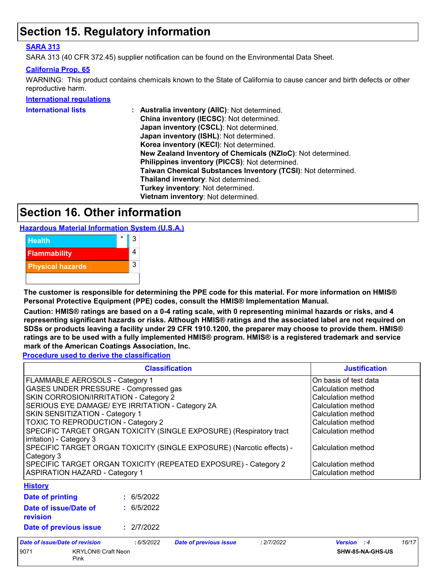## **Section 15. Regulatory information**

## **SARA 313**

SARA 313 (40 CFR 372.45) supplier notification can be found on the Environmental Data Sheet.

#### **California Prop. 65**

WARNING: This product contains chemicals known to the State of California to cause cancer and birth defects or other reproductive harm.

#### **International regulations**

| <b>International lists</b> | Australia inventory (AIIC): Not determined.                  |
|----------------------------|--------------------------------------------------------------|
|                            | China inventory (IECSC): Not determined.                     |
|                            | Japan inventory (CSCL): Not determined.                      |
|                            | Japan inventory (ISHL): Not determined.                      |
|                            | Korea inventory (KECI): Not determined.                      |
|                            | New Zealand Inventory of Chemicals (NZIoC): Not determined.  |
|                            | Philippines inventory (PICCS): Not determined.               |
|                            | Taiwan Chemical Substances Inventory (TCSI): Not determined. |
|                            | Thailand inventory: Not determined.                          |
|                            | Turkey inventory: Not determined.                            |
|                            | Vietnam inventory: Not determined.                           |
|                            |                                                              |

## **Section 16. Other information**

**Hazardous Material Information System (U.S.A.)**



**The customer is responsible for determining the PPE code for this material. For more information on HMIS® Personal Protective Equipment (PPE) codes, consult the HMIS® Implementation Manual.**

**Caution: HMIS® ratings are based on a 0-4 rating scale, with 0 representing minimal hazards or risks, and 4 representing significant hazards or risks. Although HMIS® ratings and the associated label are not required on SDSs or products leaving a facility under 29 CFR 1910.1200, the preparer may choose to provide them. HMIS® ratings are to be used with a fully implemented HMIS® program. HMIS® is a registered trademark and service mark of the American Coatings Association, Inc.**

**Procedure used to derive the classification**

| <b>Classification</b>                                                                           |            |                               | <b>Justification</b> |                       |       |
|-------------------------------------------------------------------------------------------------|------------|-------------------------------|----------------------|-----------------------|-------|
| FLAMMABLE AEROSOLS - Category 1                                                                 |            |                               |                      | On basis of test data |       |
| GASES UNDER PRESSURE - Compressed gas                                                           |            |                               |                      | Calculation method    |       |
| SKIN CORROSION/IRRITATION - Category 2                                                          |            |                               |                      | Calculation method    |       |
| SERIOUS EYE DAMAGE/ EYE IRRITATION - Category 2A                                                |            |                               |                      | Calculation method    |       |
| SKIN SENSITIZATION - Category 1                                                                 |            |                               |                      | Calculation method    |       |
| TOXIC TO REPRODUCTION - Category 2                                                              |            |                               |                      | Calculation method    |       |
| SPECIFIC TARGET ORGAN TOXICITY (SINGLE EXPOSURE) (Respiratory tract<br>irritation) - Category 3 |            |                               |                      | Calculation method    |       |
| SPECIFIC TARGET ORGAN TOXICITY (SINGLE EXPOSURE) (Narcotic effects) -<br>Category 3             |            |                               |                      | Calculation method    |       |
| SPECIFIC TARGET ORGAN TOXICITY (REPEATED EXPOSURE) - Category 2                                 |            |                               |                      | Calculation method    |       |
| <b>ASPIRATION HAZARD - Category 1</b>                                                           |            |                               |                      | Calculation method    |       |
| <b>History</b>                                                                                  |            |                               |                      |                       |       |
| Date of printing                                                                                | : 6/5/2022 |                               |                      |                       |       |
| Date of issue/Date of<br>revision                                                               | : 6/5/2022 |                               |                      |                       |       |
| Date of previous issue                                                                          | : 2/7/2022 |                               |                      |                       |       |
| Date of issue/Date of revision                                                                  | : 6/5/2022 | <b>Date of previous issue</b> | : 2/7/2022           | <b>Version</b> : 4    | 16/17 |